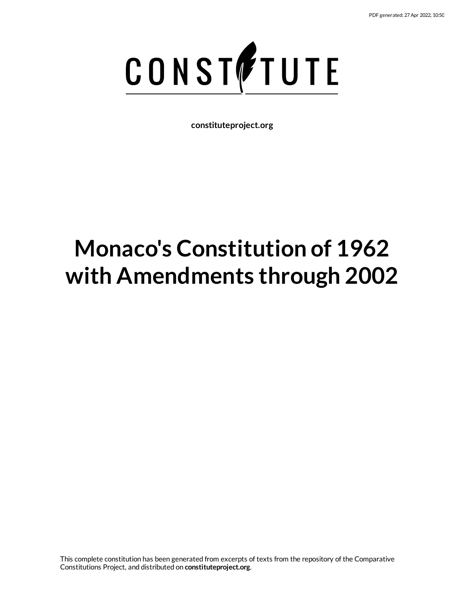

**constituteproject.org**

# **Monaco's Constitution of 1962 with Amendments through 2002**

This complete constitution has been generated from excerpts of texts from the repository of the Comparative Constitutions Project, and distributed on **constituteproject.org**.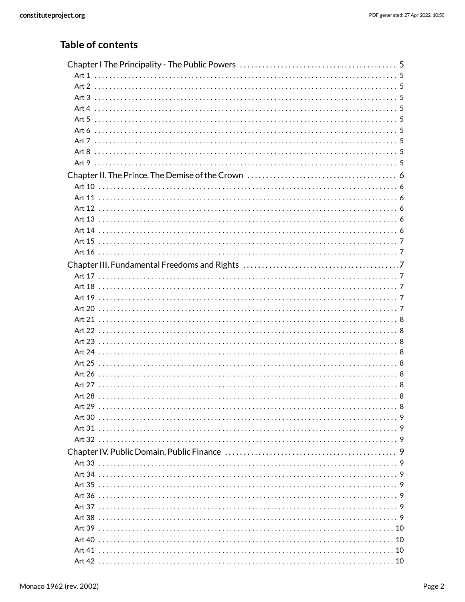### **Table of contents**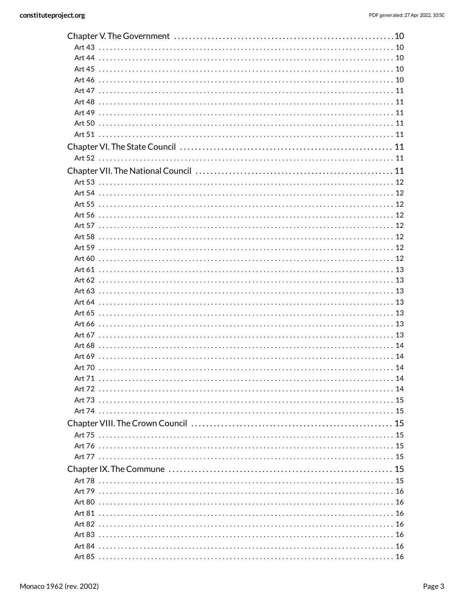|  | .16 |
|--|-----|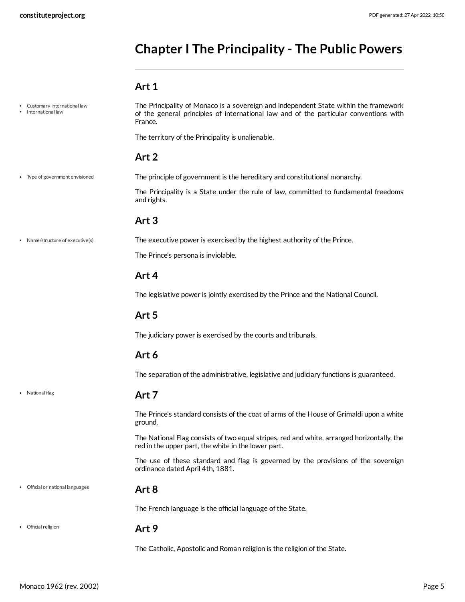# <span id="page-4-0"></span>**Chapter I The Principality - The Public Powers**

### <span id="page-4-12"></span><span id="page-4-11"></span><span id="page-4-10"></span><span id="page-4-7"></span><span id="page-4-6"></span><span id="page-4-5"></span><span id="page-4-4"></span><span id="page-4-3"></span><span id="page-4-2"></span><span id="page-4-1"></span>**Art 1**

<span id="page-4-9"></span><span id="page-4-8"></span>

| Customary international law<br>International law | The Principality of Monaco is a sovereign and independent State within the framework<br>of the general principles of international law and of the particular conventions with<br>France. |
|--------------------------------------------------|------------------------------------------------------------------------------------------------------------------------------------------------------------------------------------------|
|                                                  | The territory of the Principality is unalienable.                                                                                                                                        |
|                                                  | Art <sub>2</sub>                                                                                                                                                                         |
| Type of government envisioned                    | The principle of government is the hereditary and constitutional monarchy.                                                                                                               |
|                                                  | The Principality is a State under the rule of law, committed to fundamental freedoms<br>and rights.                                                                                      |
|                                                  | Art <sub>3</sub>                                                                                                                                                                         |
| • Name/structure of executive(s)                 | The executive power is exercised by the highest authority of the Prince.                                                                                                                 |
|                                                  | The Prince's persona is inviolable.                                                                                                                                                      |
|                                                  | Art 4                                                                                                                                                                                    |
|                                                  | The legislative power is jointly exercised by the Prince and the National Council.                                                                                                       |
|                                                  | Art 5                                                                                                                                                                                    |
|                                                  | The judiciary power is exercised by the courts and tribunals.                                                                                                                            |
|                                                  | Art 6                                                                                                                                                                                    |
|                                                  | The separation of the administrative, legislative and judiciary functions is guaranteed.                                                                                                 |
| • National flag                                  | Art 7                                                                                                                                                                                    |
|                                                  | The Prince's standard consists of the coat of arms of the House of Grimaldi upon a white<br>ground.                                                                                      |
|                                                  | The National Flag consists of two equal stripes, red and white, arranged horizontally, the<br>red in the upper part, the white in the lower part.                                        |
|                                                  | The use of these standard and flag is governed by the provisions of the sovereign<br>ordinance dated April 4th, 1881.                                                                    |
| Official or national languages                   | Art <sub>8</sub>                                                                                                                                                                         |
|                                                  | The French language is the official language of the State.                                                                                                                               |
| Official religion                                | Art 9                                                                                                                                                                                    |
|                                                  | The Catholic, Apostolic and Roman religion is the religion of the State.                                                                                                                 |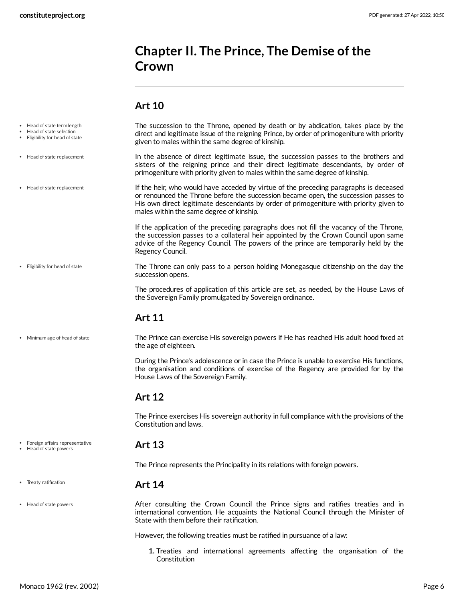# <span id="page-5-0"></span>**Chapter II. The Prince, The Demise ofthe Crown**

### <span id="page-5-9"></span><span id="page-5-7"></span><span id="page-5-6"></span><span id="page-5-3"></span><span id="page-5-2"></span><span id="page-5-1"></span>**Art 10**

<span id="page-5-8"></span><span id="page-5-5"></span><span id="page-5-4"></span>

| Head of state term length<br>• Head of state selection<br>• Eligibility for head of state | The succession to the Throne, opened by death or by abdication, takes place by the<br>direct and legitimate issue of the reigning Prince, by order of primogeniture with priority<br>given to males within the same degree of kinship.                                                                             |
|-------------------------------------------------------------------------------------------|--------------------------------------------------------------------------------------------------------------------------------------------------------------------------------------------------------------------------------------------------------------------------------------------------------------------|
| • Head of state replacement                                                               | In the absence of direct legitimate issue, the succession passes to the brothers and<br>sisters of the reigning prince and their direct legitimate descendants, by order of<br>primogeniture with priority given to males within the same degree of kinship.                                                       |
| • Head of state replacement                                                               | If the heir, who would have acceded by virtue of the preceding paragraphs is deceased<br>or renounced the Throne before the succession became open, the succession passes to<br>His own direct legitimate descendants by order of primogeniture with priority given to<br>males within the same degree of kinship. |
|                                                                                           | If the application of the preceding paragraphs does not fill the vacancy of the Throne,<br>the succession passes to a collateral heir appointed by the Crown Council upon same<br>advice of the Regency Council. The powers of the prince are temporarily held by the<br>Regency Council.                          |
| • Eligibility for head of state                                                           | The Throne can only pass to a person holding Monegasque citizenship on the day the<br>succession opens.                                                                                                                                                                                                            |
|                                                                                           | The procedures of application of this article are set, as needed, by the House Laws of<br>the Sovereign Family promulgated by Sovereign ordinance.                                                                                                                                                                 |
|                                                                                           | <b>Art 11</b>                                                                                                                                                                                                                                                                                                      |
| • Minimum age of head of state                                                            | The Prince can exercise His sovereign powers if He has reached His adult hood fixed at<br>the age of eighteen.                                                                                                                                                                                                     |
|                                                                                           | During the Prince's adolescence or in case the Prince is unable to exercise His functions,<br>the organisation and conditions of exercise of the Regency are provided for by the<br>House Laws of the Sovereign Family.                                                                                            |
|                                                                                           | <b>Art 12</b>                                                                                                                                                                                                                                                                                                      |
|                                                                                           | The Prince exercises His sovereign authority in full compliance with the provisions of the<br>Constitution and laws.                                                                                                                                                                                               |
| • Foreign affairs representative<br>• Head of state powers                                | <b>Art 13</b>                                                                                                                                                                                                                                                                                                      |
|                                                                                           | The Prince represents the Principality in its relations with foreign powers.                                                                                                                                                                                                                                       |
| • Treaty ratification                                                                     | <b>Art 14</b>                                                                                                                                                                                                                                                                                                      |
| • Head of state powers                                                                    | After consulting the Crown Council the Prince signs and ratifies treaties and in<br>international convention. He acquaints the National Council through the Minister of<br>State with them before their ratification.                                                                                              |
|                                                                                           | However, the following treaties must be ratified in pursuance of a law:                                                                                                                                                                                                                                            |
|                                                                                           | 1. Treaties and international agreements affecting the organisation of the<br>Constitution                                                                                                                                                                                                                         |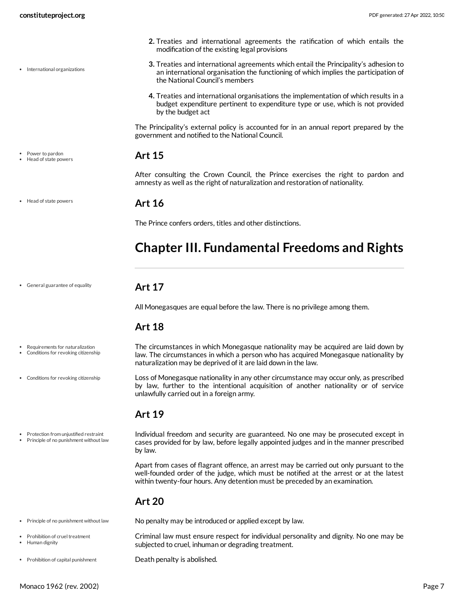- International organizations
- 

• Head of state powers

General guarantee of equality

Requirements for naturalization Conditions for revoking citizenship

Conditions for revoking citizenship

Power to pardon Head of state powers

<span id="page-6-1"></span>**Art 16**

<span id="page-6-0"></span>**Art 15**

The Prince confers orders, titles and other distinctions.

modification of the existing legal provisions

the National Council's members

government and notified to the National Council.

by the budget act

# <span id="page-6-2"></span>**Chapter III. Fundamental Freedoms and Rights**

**2.** Treaties and international agreements the ratification of which entails the

**3.** Treaties and international agreements which entail the Principality's adhesion to an international organisation the functioning of which implies the participation of

**4.** Treaties and international organisations the implementation of which results in a budget expenditure pertinent to expenditure type or use, which is not provided

The Principality's external policy is accounted for in an annual report prepared by the

After consulting the Crown Council, the Prince exercises the right to pardon and

amnesty as well as the right of naturalization and restoration of nationality.

#### **Art 17**

<span id="page-6-3"></span>All Monegasques are equal before the law. There is no privilege among them.

### <span id="page-6-4"></span>**Art 18**

- <span id="page-6-7"></span>The circumstances in which Monegasque nationality may be acquired are laid down by law. The circumstances in which a person who has acquired Monegasque nationality by naturalization may be deprived of it are laid down in the law.
	- Loss of Monegasque nationality in any other circumstance may occur only, as prescribed by law, further to the intentional acquisition of another nationality or of service unlawfully carried out in a foreign army.

#### <span id="page-6-5"></span>**Art 19**

- Protection from unjustified restraint
- Principle of no punishment without law

cases provided for by law, before legally appointed judges and in the manner prescribed by law. Apart from cases of flagrant offence, an arrest may be carried out only pursuant to the

<span id="page-6-9"></span>Individual freedom and security are guaranteed. No one may be prosecuted except in

well-founded order of the judge, which must be notified at the arrest or at the latest within twenty-four hours. Any detention must be preceded by an examination.

### <span id="page-6-6"></span>**Art 20**

- Principle of no punishment without law
- Prohibition of cruel treatment
- Human dignity
- Prohibition of capital punishment

No penalty may be introduced or applied except by law.

<span id="page-6-8"></span>Criminal law must ensure respect for individual personality and dignity. No one may be subjected to cruel, inhuman or degrading treatment.

<span id="page-6-10"></span>Death penalty is abolished.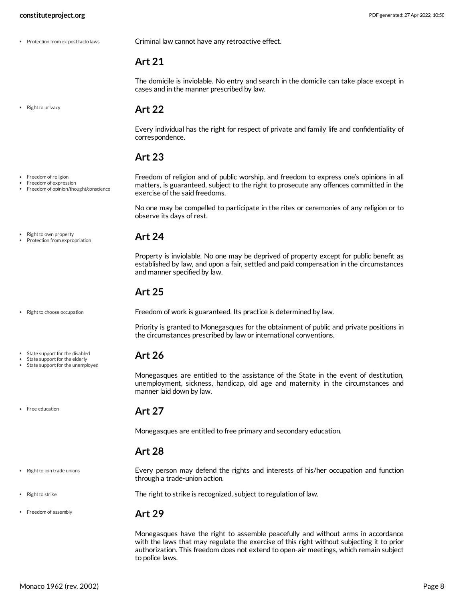• Protection from ex post facto laws

<span id="page-7-10"></span>Criminal law cannot have any retroactive effect.

#### <span id="page-7-0"></span>**Art 21**

The domicile is inviolable. No entry and search in the domicile can take place except in cases and in the manner prescribed by law.

• Right to privacy

#### <span id="page-7-1"></span>**Art 22**

Every individual has the right for respect of private and family life and confidentiality of correspondence.

#### <span id="page-7-2"></span>**Art 23**

<span id="page-7-9"></span>Freedom of religion and of public worship, and freedom to express one's opinions in all matters, is guaranteed, subject to the right to prosecute any offences committed in the exercise of the said freedoms.

No one may be compelled to participate in the rites or ceremonies of any religion or to observe its days of rest.

• Right to own property Protection from expropriation

Freedom of religion Freedom of expression

Freedom of opinion/thought/conscience

#### <span id="page-7-3"></span>**Art 24**

Property is inviolable. No one may be deprived of property except for public benefit as established by law, and upon a fair, settled and paid compensation in the circumstances and manner specified by law.

#### <span id="page-7-4"></span>**Art 25**

• Right to choose occupation

<span id="page-7-11"></span>Freedom of work is guaranteed. Its practice is determined by law.

Priority is granted to Monegasques for the obtainment of public and private positions in the circumstances prescribed by law or international conventions.

Monegasques are entitled to the assistance of the State in the event of destitution, unemployment, sickness, handicap, old age and maternity in the circumstances and

#### <span id="page-7-5"></span>**Art 26**

State support for the disabled State support for the elderly State support for the unemployed

• Free education

#### <span id="page-7-6"></span>**Art 27**

manner laid down by law.

Monegasques are entitled to free primary and secondary education.

#### <span id="page-7-12"></span><span id="page-7-7"></span>**Art 28**

Every person may defend the rights and interests of his/her occupation and function through a trade-union action.

<span id="page-7-13"></span>The right to strike is recognized, subject to regulation of law.

#### • Freedom of assembly

• Right to strike

• Right to join trade unions

<span id="page-7-8"></span>**Art 29**

Monegasques have the right to assemble peacefully and without arms in accordance with the laws that may regulate the exercise of this right without subjecting it to prior authorization. This freedom does not extend to open-air meetings, which remain subject to police laws.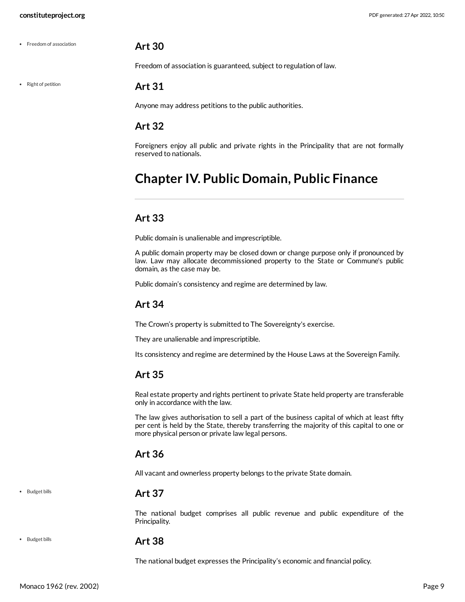#### <span id="page-8-0"></span>**Art 30**

Freedom of association is guaranteed, subject to regulation of law.

• Right of petition

Freedom of association

#### <span id="page-8-1"></span>**Art 31**

Anyone may address petitions to the public authorities.

#### <span id="page-8-2"></span>**Art 32**

Foreigners enjoy all public and private rights in the Principality that are not formally reserved to nationals.

# <span id="page-8-3"></span>**Chapter IV. Public Domain, Public Finance**

#### <span id="page-8-4"></span>**Art 33**

Public domain is unalienable and imprescriptible.

A public domain property may be closed down or change purpose only if pronounced by law. Law may allocate decommissioned property to the State or Commune's public domain, as the case may be.

Public domain's consistency and regime are determined by law.

### <span id="page-8-5"></span>**Art 34**

The Crown's property is submitted to The Sovereignty's exercise.

They are unalienable and imprescriptible.

Its consistency and regime are determined by the House Laws at the Sovereign Family.

#### <span id="page-8-6"></span>**Art 35**

Real estate property and rights pertinent to private State held property are transferable only in accordance with the law.

The law gives authorisation to sell a part of the business capital of which at least fifty per cent is held by the State, thereby transferring the majority of this capital to one or more physical person or private law legal persons.

#### <span id="page-8-7"></span>**Art 36**

All vacant and ownerless property belongs to the private State domain.

• Budget bills

#### <span id="page-8-8"></span>**Art 37**

The national budget comprises all public revenue and public expenditure of the Principality.

#### • Budget bills

#### <span id="page-8-9"></span>**Art 38**

The national budget expresses the Principality's economic and financial policy.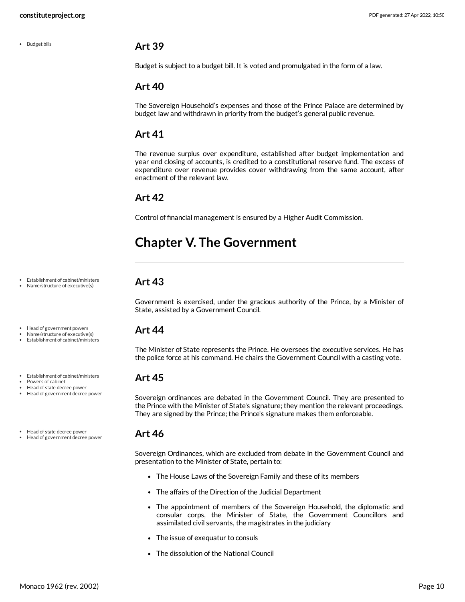#### • Budget bills

#### <span id="page-9-0"></span>**Art 39**

Budget is subject to a budget bill. It is voted and promulgated in the form of a law.

#### <span id="page-9-1"></span>**Art 40**

The Sovereign Household's expenses and those of the Prince Palace are determined by budget law and withdrawn in priority from the budget's general public revenue.

#### <span id="page-9-2"></span>**Art 41**

The revenue surplus over expenditure, established after budget implementation and year end closing of accounts, is credited to a constitutional reserve fund. The excess of expenditure over revenue provides cover withdrawing from the same account, after enactment of the relevant law.

#### <span id="page-9-3"></span>**Art 42**

Control of financial management is ensured by a Higher Audit Commission.

# <span id="page-9-4"></span>**Chapter V. The Government**

### <span id="page-9-5"></span>**Art 43**

Government is exercised, under the gracious authority of the Prince, by a Minister of State, assisted by a Government Council.

#### <span id="page-9-6"></span>**Art 44**

The Minister of State represents the Prince. He oversees the executive services. He has the police force at his command. He chairs the Government Council with a casting vote.

### <span id="page-9-7"></span>**Art 45**

Sovereign ordinances are debated in the Government Council. They are presented to the Prince with the Minister of State's signature; they mention the relevant proceedings. They are signed by the Prince; the Prince's signature makes them enforceable.

#### <span id="page-9-8"></span>**Art 46**

Sovereign Ordinances, which are excluded from debate in the Government Council and presentation to the Minister of State, pertain to:

- The House Laws of the Sovereign Family and these of its members
- The affairs of the Direction of the Judicial Department
- The appointment of members of the Sovereign Household, the diplomatic and consular corps, the Minister of State, the Government Councillors and assimilated civil servants, the magistrates in the judiciary
- The issue of exequatur to consuls
- The dissolution of the National Council

#### Establishment of cabinet/ministers • Name/structure of executive(s)

- Head of government powers
- Name/structure of executive(s) Establishment of cabinet/ministers
- Establishment of cabinet/ministers
- Powers of cabinet
- Head of state decree power Head of government decree power
- Head of state decree power
- Head of government decree power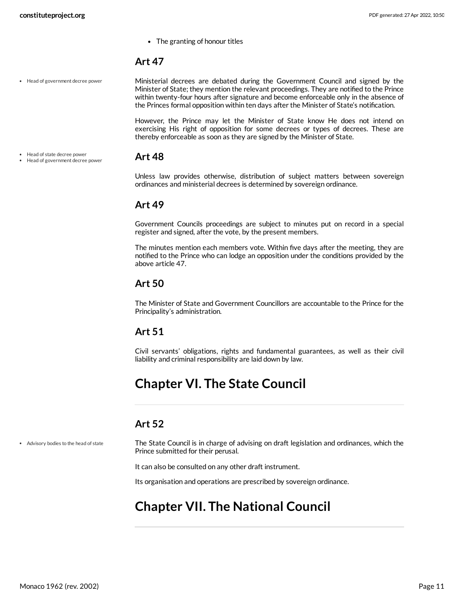The granting of honour titles

#### <span id="page-10-0"></span>**Art 47**

• Head of government decree power

<span id="page-10-9"></span>Ministerial decrees are debated during the Government Council and signed by the Minister of State; they mention the relevant proceedings. They are notified to the Prince within twenty-four hours after signature and become enforceable only in the absence of the Princes formal opposition within ten days after the Minister of State's notification.

However, the Prince may let the Minister of State know He does not intend on exercising His right of opposition for some decrees or types of decrees. These are thereby enforceable as soon as they are signed by the Minister of State.

**Art 48** • Head of state decree power Head of government decree power

> <span id="page-10-1"></span>Unless law provides otherwise, distribution of subject matters between sovereign ordinances and ministerial decrees is determined by sovereign ordinance.

#### <span id="page-10-2"></span>**Art 49**

Government Councils proceedings are subject to minutes put on record in a special register and signed, after the vote, by the present members.

The minutes mention each members vote. Within five days after the meeting, they are notified to the Prince who can lodge an opposition under the conditions provided by the above article 47.

#### <span id="page-10-3"></span>**Art 50**

The Minister of State and Government Councillors are accountable to the Prince for the Principality's administration.

#### <span id="page-10-4"></span>**Art 51**

Civil servants' obligations, rights and fundamental guarantees, as well as their civil liability and criminal responsibility are laid down by law.

### <span id="page-10-5"></span>**Chapter VI. The State Council**

### <span id="page-10-6"></span>**Art 52**

Advisory bodies to the head of state

<span id="page-10-8"></span>The State Council is in charge of advising on draft legislation and ordinances, which the Prince submitted for their perusal.

It can also be consulted on any other draft instrument.

Its organisation and operations are prescribed by sovereign ordinance.

## <span id="page-10-7"></span>**Chapter VII. The National Council**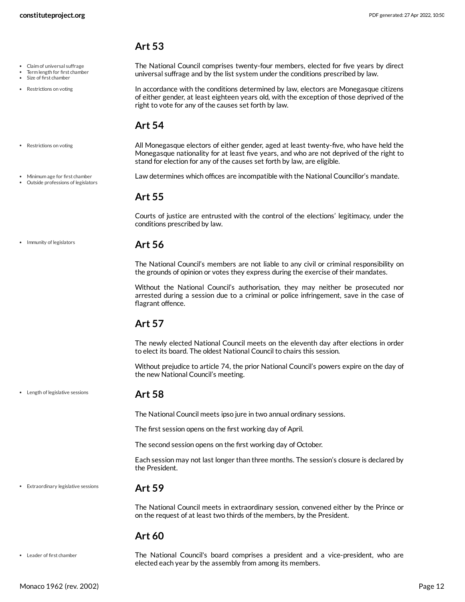#### <span id="page-11-0"></span>**Art 53**

- Claim of universal suffrage
- Term length for first chamber
- Size of first chamber
- Restrictions on voting

<span id="page-11-8"></span>The National Council comprises twenty-four members, elected for five years by direct universal suffrage and by the list system under the conditions prescribed by law.

<span id="page-11-11"></span>In accordance with the conditions determined by law, electors are Monegasque citizens of either gender, at least eighteen years old, with the exception of those deprived of the right to vote for any of the causes set forth by law.

#### <span id="page-11-1"></span>**Art 54**

All Monegasque electors of either gender, aged at least twenty-five, who have held the Monegasque nationality for at least five years, and who are not deprived of the right to stand for election for any of the causes set forth by law, are eligible. • Restrictions on voting

Minimum age for first chamber Outside professions of legislators

• Immunity of legislators

<span id="page-11-10"></span>Law determines which offices are incompatible with the National Councillor's mandate.

#### <span id="page-11-2"></span>**Art 55**

Courts of justice are entrusted with the control of the elections' legitimacy, under the conditions prescribed by law.

#### <span id="page-11-3"></span>**Art 56**

The National Council's members are not liable to any civil or criminal responsibility on the grounds of opinion or votes they express during the exercise of their mandates.

Without the National Council's authorisation, they may neither be prosecuted nor arrested during a session due to a criminal or police infringement, save in the case of flagrant offence.

### <span id="page-11-4"></span>**Art 57**

The newly elected National Council meets on the eleventh day after elections in order to elect its board. The oldest National Council to chairs this session.

Without prejudice to article 74, the prior National Council's powers expire on the day of the new National Council's meeting.

Length of legislative sessions

#### <span id="page-11-5"></span>**Art 58**

The National Council meets ipso jure in two annual ordinary sessions.

The first session opens on the first working day of April.

The second session opens on the first working day of October.

Each session may not last longer than three months. The session's closure is declared by the President.

Extraordinary legislative sessions

#### <span id="page-11-6"></span>**Art 59**

The National Council meets in extraordinary session, convened either by the Prince or on the request of at least two thirds of the members, by the President.

#### <span id="page-11-7"></span>**Art 60**

Leader of first chamber

<span id="page-11-9"></span>The National Council's board comprises a president and a vice-president, who are elected each year by the assembly from among its members.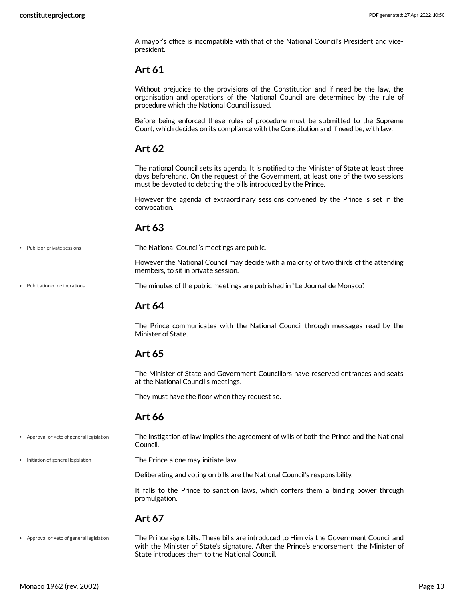A mayor's office is incompatible with that of the National Council's President and vicepresident.

#### <span id="page-12-0"></span>**Art 61**

Without prejudice to the provisions of the Constitution and if need be the law, the organisation and operations of the National Council are determined by the rule of procedure which the National Council issued.

Before being enforced these rules of procedure must be submitted to the Supreme Court, which decides on its compliance with the Constitution and if need be, with law.

#### <span id="page-12-1"></span>**Art 62**

The national Council sets its agenda. It is notified to the Minister of State at least three days beforehand. On the request of the Government, at least one of the two sessions must be devoted to debating the bills introduced by the Prince.

However the agenda of extraordinary sessions convened by the Prince is set in the convocation.

#### <span id="page-12-2"></span>**Art 63**

The National Council's meetings are public.

<span id="page-12-9"></span>However the National Council may decide with a majority of two thirds of the attending members, to sit in private session.

The minutes of the public meetings are published in "Le Journal de Monaco".

### <span id="page-12-10"></span><span id="page-12-3"></span>**Art 64**

The Prince communicates with the National Council through messages read by the Minister of State.

### <span id="page-12-4"></span>**Art 65**

The Minister of State and Government Councillors have reserved entrances and seats at the National Council's meetings.

They must have the floor when they request so.

### <span id="page-12-7"></span><span id="page-12-5"></span>**Art 66**

- The instigation of law implies the agreement of wills of both the Prince and the National Council. Approval or veto of general legislation
- Initiation of general legislation

• Public or private sessions

Publication of deliberations

<span id="page-12-8"></span>The Prince alone may initiate law.

Deliberating and voting on bills are the National Council's responsibility.

It falls to the Prince to sanction laws, which confers them a binding power through promulgation.

### <span id="page-12-6"></span>**Art 67**

The Prince signs bills. These bills are introduced to Him via the Government Council and with the Minister of State's signature. After the Prince's endorsement, the Minister of State introduces them to the National Council. Approval or veto of general legislation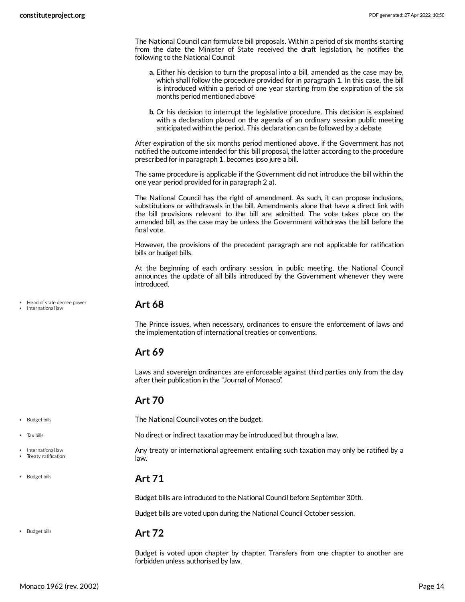The National Council can formulate bill proposals. Within a period of six months starting from the date the Minister of State received the draft legislation, he notifies the following to the National Council:

- **a.** Either his decision to turn the proposal into a bill, amended as the case may be, which shall follow the procedure provided for in paragraph 1. In this case, the bill is introduced within a period of one year starting from the expiration of the six months period mentioned above
- **b.** Or his decision to interrupt the legislative procedure. This decision is explained with a declaration placed on the agenda of an ordinary session public meeting anticipated within the period. This declaration can be followed by a debate

After expiration of the six months period mentioned above, if the Government has not notified the outcome intended for this bill proposal, the latter according to the procedure prescribed for in paragraph 1. becomes ipso jure a bill.

The same procedure is applicable if the Government did not introduce the bill within the one year period provided for in paragraph 2 a).

The National Council has the right of amendment. As such, it can propose inclusions, substitutions or withdrawals in the bill. Amendments alone that have a direct link with the bill provisions relevant to the bill are admitted. The vote takes place on the amended bill, as the case may be unless the Government withdraws the bill before the final vote.

However, the provisions of the precedent paragraph are not applicable for ratification bills or budget bills.

At the beginning of each ordinary session, in public meeting, the National Council announces the update of all bills introduced by the Government whenever they were introduced.

Head of state decree power International law

#### <span id="page-13-0"></span>**Art 68**

The Prince issues, when necessary, ordinances to ensure the enforcement of laws and the implementation of international treaties or conventions.

#### <span id="page-13-1"></span>**Art 69**

Laws and sovereign ordinances are enforceable against third parties only from the day after their publication in the "Journal of Monaco".

#### <span id="page-13-2"></span>**Art 70**

<span id="page-13-5"></span>The National Council votes on the budget.

<span id="page-13-6"></span>No direct or indirect taxation may be introduced but through a law.

<span id="page-13-7"></span>Any treaty or international agreement entailing such taxation may only be ratified by a law.

#### <span id="page-13-3"></span>**Art 71**

Budget bills are introduced to the National Council before September 30th.

Budget bills are voted upon during the National Council October session.

• Budget bills

• Budget bills Tax bills

• International law Treaty ratification

• Budget bills

#### <span id="page-13-4"></span>**Art 72**

Budget is voted upon chapter by chapter. Transfers from one chapter to another are forbidden unless authorised by law.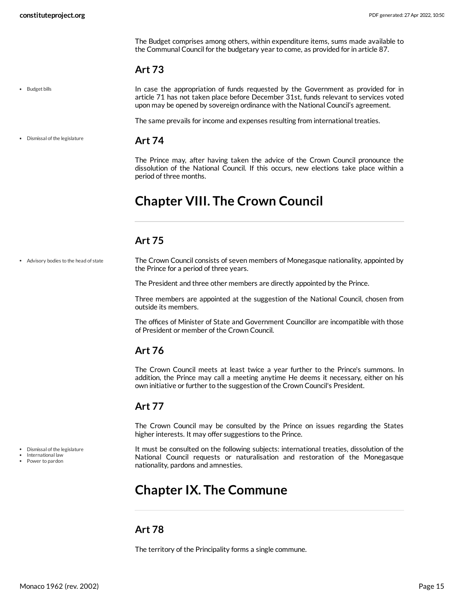The Budget comprises among others, within expenditure items, sums made available to the Communal Council for the budgetary year to come, as provided for in article 87.

#### <span id="page-14-0"></span>**Art 73**

• Budget bills

<span id="page-14-9"></span>In case the appropriation of funds requested by the Government as provided for in article 71 has not taken place before December 31st, funds relevant to services voted upon may be opened by sovereign ordinance with the National Council's agreement.

The same prevails for income and expenses resulting from international treaties.

Dismissal of the legislature

#### <span id="page-14-1"></span>**Art 74**

The Prince may, after having taken the advice of the Crown Council pronounce the dissolution of the National Council. If this occurs, new elections take place within a period of three months.

# <span id="page-14-2"></span>**Chapter VIII. The Crown Council**

#### <span id="page-14-3"></span>**Art 75**

The Crown Council consists of seven members of Monegasque nationality, appointed by the Prince for a period of three years. Advisory bodies to the head of state

<span id="page-14-8"></span>The President and three other members are directly appointed by the Prince.

Three members are appointed at the suggestion of the National Council, chosen from outside its members.

The offices of Minister of State and Government Councillor are incompatible with those of President or member of the Crown Council.

### <span id="page-14-4"></span>**Art 76**

The Crown Council meets at least twice a year further to the Prince's summons. In addition, the Prince may call a meeting anytime He deems it necessary, either on his own initiative or further to the suggestion of the Crown Council's President.

### <span id="page-14-5"></span>**Art 77**

The Crown Council may be consulted by the Prince on issues regarding the States higher interests. It may offer suggestions to the Prince.

<span id="page-14-10"></span>It must be consulted on the following subjects: international treaties, dissolution of the National Council requests or naturalisation and restoration of the Monegasque nationality, pardons and amnesties.

# <span id="page-14-6"></span>**Chapter IX. The Commune**

#### <span id="page-14-7"></span>**Art 78**

The territory of the Principality forms a single commune.

Power to pardon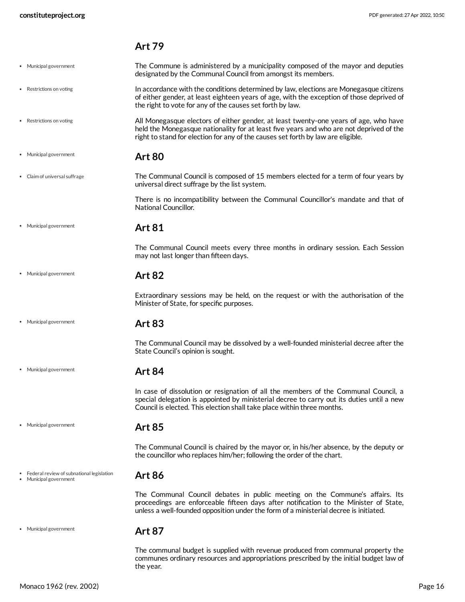$\ddot{\phantom{0}}$ 

<span id="page-15-9"></span><span id="page-15-3"></span><span id="page-15-2"></span> $\bullet$ 

<span id="page-15-5"></span><span id="page-15-4"></span> $\bullet$ 

<span id="page-15-6"></span> $\ddot{\phantom{0}}$ 

 $\bullet$ 

#### <span id="page-15-11"></span><span id="page-15-10"></span><span id="page-15-1"></span><span id="page-15-0"></span>**Art 79**

| Municipal government                                              | The Commune is administered by a municipality composed of the mayor and deputies<br>designated by the Communal Council from amongst its members.                                                                                                                    |
|-------------------------------------------------------------------|---------------------------------------------------------------------------------------------------------------------------------------------------------------------------------------------------------------------------------------------------------------------|
| Restrictions on voting                                            | In accordance with the conditions determined by law, elections are Monegasque citizens<br>of either gender, at least eighteen years of age, with the exception of those deprived of<br>the right to vote for any of the causes set forth by law.                    |
| Restrictions on voting                                            | All Monegasque electors of either gender, at least twenty-one years of age, who have<br>held the Monegasque nationality for at least five years and who are not deprived of the<br>right to stand for election for any of the causes set forth by law are eligible. |
| Municipal government                                              | <b>Art 80</b>                                                                                                                                                                                                                                                       |
| Claim of universal suffrage                                       | The Communal Council is composed of 15 members elected for a term of four years by<br>universal direct suffrage by the list system.                                                                                                                                 |
|                                                                   | There is no incompatibility between the Communal Councillor's mandate and that of<br>National Councillor.                                                                                                                                                           |
| Municipal government                                              | <b>Art 81</b>                                                                                                                                                                                                                                                       |
|                                                                   | The Communal Council meets every three months in ordinary session. Each Session<br>may not last longer than fifteen days.                                                                                                                                           |
| Municipal government                                              | <b>Art 82</b>                                                                                                                                                                                                                                                       |
|                                                                   | Extraordinary sessions may be held, on the request or with the authorisation of the<br>Minister of State, for specific purposes.                                                                                                                                    |
| Municipal government                                              | <b>Art 83</b>                                                                                                                                                                                                                                                       |
|                                                                   | The Communal Council may be dissolved by a well-founded ministerial decree after the<br>State Council's opinion is sought.                                                                                                                                          |
| Municipal government                                              | <b>Art 84</b>                                                                                                                                                                                                                                                       |
|                                                                   | In case of dissolution or resignation of all the members of the Communal Council, a<br>special delegation is appointed by ministerial decree to carry out its duties until a new<br>Council is elected. This election shall take place within three months.         |
| Municipal government                                              | <b>Art 85</b>                                                                                                                                                                                                                                                       |
|                                                                   | The Communal Council is chaired by the mayor or, in his/her absence, by the deputy or<br>the councillor who replaces him/her; following the order of the chart.                                                                                                     |
| Federal review of subnational legislation<br>Municipal government | <b>Art 86</b>                                                                                                                                                                                                                                                       |
|                                                                   | The Communal Council debates in public meeting on the Commune's affairs. Its<br>proceedings are enforceable fifteen days after notification to the Minister of State,<br>unless a well-founded opposition under the form of a ministerial decree is initiated.      |
| Municipal government                                              | <b>Art 87</b>                                                                                                                                                                                                                                                       |
|                                                                   | The communal budget is supplied with revenue produced from communal property the<br>communes ordinary resources and appropriations prescribed by the initial budget law of                                                                                          |

<span id="page-15-8"></span><span id="page-15-7"></span>the year.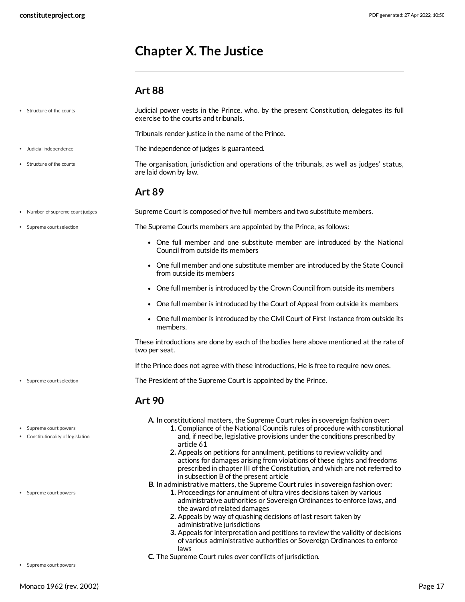# <span id="page-16-0"></span>**Chapter X. The Justice**

#### <span id="page-16-7"></span><span id="page-16-6"></span><span id="page-16-5"></span><span id="page-16-4"></span><span id="page-16-2"></span><span id="page-16-1"></span>**Art 88**

| Structure of the courts                                  | Judicial power vests in the Prince, who, by the present Constitution, delegates its full<br>exercise to the courts and tribunals.                                                                                                                                                                                                                                                                                                                                                                                                              |
|----------------------------------------------------------|------------------------------------------------------------------------------------------------------------------------------------------------------------------------------------------------------------------------------------------------------------------------------------------------------------------------------------------------------------------------------------------------------------------------------------------------------------------------------------------------------------------------------------------------|
|                                                          | Tribunals render justice in the name of the Prince.                                                                                                                                                                                                                                                                                                                                                                                                                                                                                            |
| Judicial independence                                    | The independence of judges is guaranteed.                                                                                                                                                                                                                                                                                                                                                                                                                                                                                                      |
| Structure of the courts                                  | The organisation, jurisdiction and operations of the tribunals, as well as judges' status,<br>are laid down by law.                                                                                                                                                                                                                                                                                                                                                                                                                            |
|                                                          | <b>Art 89</b>                                                                                                                                                                                                                                                                                                                                                                                                                                                                                                                                  |
| Number of supreme court judges                           | Supreme Court is composed of five full members and two substitute members.                                                                                                                                                                                                                                                                                                                                                                                                                                                                     |
| Supreme court selection                                  | The Supreme Courts members are appointed by the Prince, as follows:                                                                                                                                                                                                                                                                                                                                                                                                                                                                            |
|                                                          | • One full member and one substitute member are introduced by the National<br>Council from outside its members                                                                                                                                                                                                                                                                                                                                                                                                                                 |
|                                                          | • One full member and one substitute member are introduced by the State Council<br>from outside its members                                                                                                                                                                                                                                                                                                                                                                                                                                    |
|                                                          | • One full member is introduced by the Crown Council from outside its members                                                                                                                                                                                                                                                                                                                                                                                                                                                                  |
|                                                          | • One full member is introduced by the Court of Appeal from outside its members                                                                                                                                                                                                                                                                                                                                                                                                                                                                |
|                                                          | • One full member is introduced by the Civil Court of First Instance from outside its<br>members.                                                                                                                                                                                                                                                                                                                                                                                                                                              |
|                                                          | These introductions are done by each of the bodies here above mentioned at the rate of<br>two per seat.                                                                                                                                                                                                                                                                                                                                                                                                                                        |
|                                                          | If the Prince does not agree with these introductions, He is free to require new ones.                                                                                                                                                                                                                                                                                                                                                                                                                                                         |
| Supreme court selection                                  | The President of the Supreme Court is appointed by the Prince.                                                                                                                                                                                                                                                                                                                                                                                                                                                                                 |
|                                                          | <b>Art 90</b>                                                                                                                                                                                                                                                                                                                                                                                                                                                                                                                                  |
| Supreme court powers<br>Constitutionality of legislation | A. In constitutional matters, the Supreme Court rules in sovereign fashion over:<br>1. Compliance of the National Councils rules of procedure with constitutional<br>and, if need be, legislative provisions under the conditions prescribed by<br>article 61<br>2. Appeals on petitions for annulment, petitions to review validity and<br>actions for damages arising from violations of these rights and freedoms<br>prescribed in chapter III of the Constitution, and which are not referred to<br>in subsection B of the present article |
| • Supreme court powers                                   | B. In administrative matters, the Supreme Court rules in sovereign fashion over:<br>1. Proceedings for annulment of ultra vires decisions taken by various                                                                                                                                                                                                                                                                                                                                                                                     |

- <span id="page-16-3"></span>administrative authorities or Sovereign Ordinances to enforce laws, and the award of related damages
- **2.** Appeals by way of quashing decisions of last resort taken by administrative jurisdictions
- **3.** Appeals for interpretation and petitions to review the validity of decisions of various administrative authorities or Sovereign Ordinances to enforce laws
- **C.** The Supreme Court rules over conflicts of jurisdiction.

Supreme court powers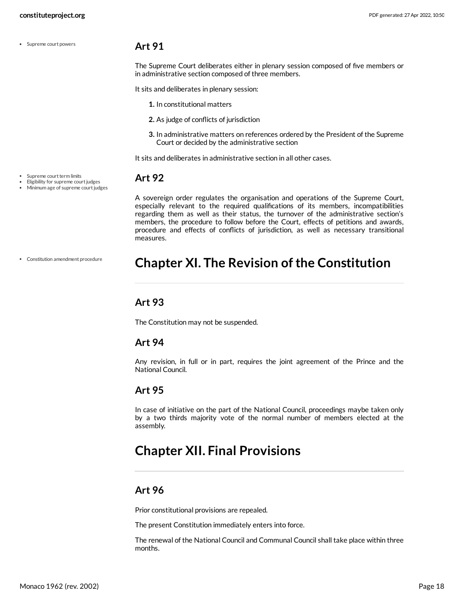Supreme court powers

#### <span id="page-17-0"></span>**Art 91**

The Supreme Court deliberates either in plenary session composed of five members or in administrative section composed of three members.

It sits and deliberates in plenary session:

- **1.** In constitutional matters
- **2.** As judge of conflicts of jurisdiction
- **3.** In administrative matters on references ordered by the President of the Supreme Court or decided by the administrative section

It sits and deliberates in administrative section in all other cases.

#### <span id="page-17-1"></span>**Art 92**

Eligibility for supreme court judges • Minimum age of supreme court judges

Constitution amendment procedure

A sovereign order regulates the organisation and operations of the Supreme Court, especially relevant to the required qualifications of its members, incompatibilities regarding them as well as their status, the turnover of the administrative section's members, the procedure to follow before the Court, effects of petitions and awards, procedure and effects of conflicts of jurisdiction, as well as necessary transitional measures.

### <span id="page-17-2"></span>**Chapter XI. The Revision ofthe Constitution**

### <span id="page-17-3"></span>**Art 93**

The Constitution may not be suspended.

#### <span id="page-17-4"></span>**Art 94**

Any revision, in full or in part, requires the joint agreement of the Prince and the National Council.

#### <span id="page-17-5"></span>**Art 95**

In case of initiative on the part of the National Council, proceedings maybe taken only by a two thirds majority vote of the normal number of members elected at the assembIy.

## <span id="page-17-6"></span>**Chapter XII. Final Provisions**

#### <span id="page-17-7"></span>**Art 96**

Prior constitutional provisions are repealed.

The present Constitution immediately enters into force.

The renewal of the National Council and Communal Council shall take place within three months.

Supreme court term limits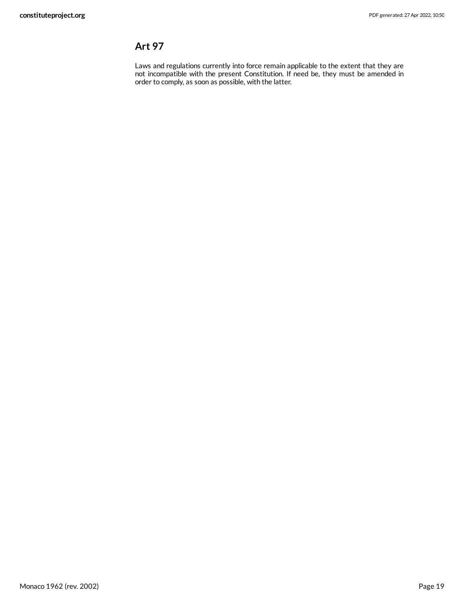### <span id="page-18-0"></span>**Art 97**

Laws and regulations currently into force remain applicable to the extent that they are not incompatible with the present Constitution. If need be, they must be amended in order to comply, as soon as possible, with the latter.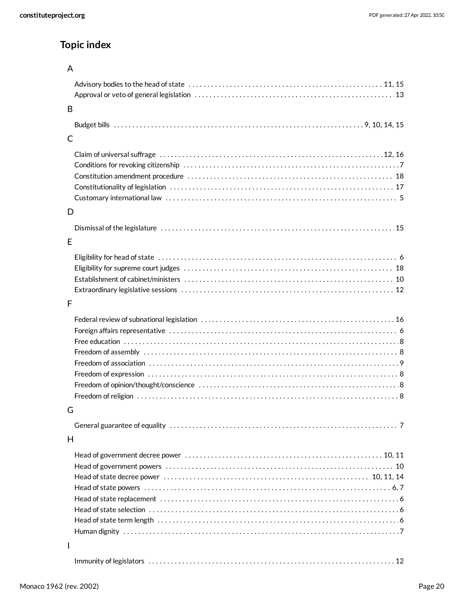### **Topic index**

| __ |  |
|----|--|
|    |  |

| B |  |
|---|--|
|   |  |
| C |  |
|   |  |
| D |  |
| E |  |
|   |  |
|   |  |
| F |  |
|   |  |
| G |  |
|   |  |
| H |  |
|   |  |
| I |  |
|   |  |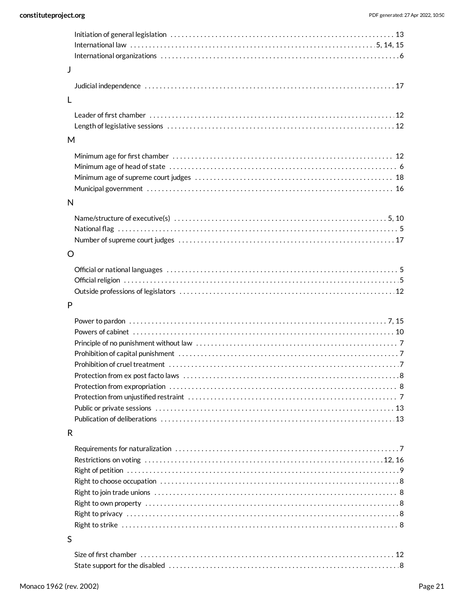| J       |  |
|---------|--|
|         |  |
|         |  |
| L       |  |
|         |  |
|         |  |
| M       |  |
|         |  |
|         |  |
|         |  |
|         |  |
| N       |  |
|         |  |
|         |  |
|         |  |
| $\circ$ |  |
|         |  |
|         |  |
|         |  |
| P       |  |
|         |  |
|         |  |
|         |  |
|         |  |
|         |  |
|         |  |
|         |  |
|         |  |
|         |  |
| R       |  |
|         |  |
|         |  |
|         |  |
|         |  |
|         |  |
|         |  |
|         |  |
|         |  |
| S       |  |
|         |  |